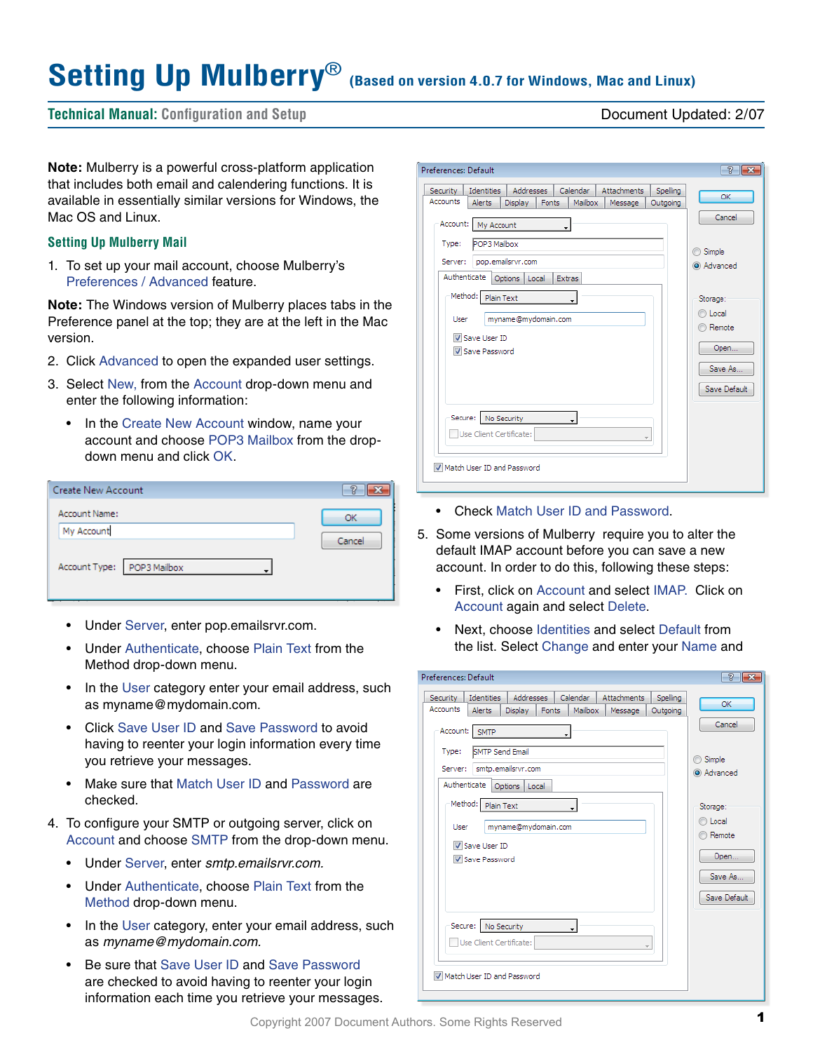# **Setting Up Mulberry**®

**(Based on version 4.0.7 for Windows, Mac and Linux)**

# **Technical Manual: Configuration and Setup** Document Updated: 2/07

**Note:** Mulberry is a powerful cross-platform application that includes both email and calendering functions. It is available in essentially similar versions for Windows, the Mac OS and Linux.

#### **Setting Up Mulberry Mail**

1. To set up your mail account, choose Mulberry's Preferences / Advanced feature.

**Note:** The Windows version of Mulberry places tabs in the Preference panel at the top; they are at the left in the Mac version.

- 2. Click Advanced to open the expanded user settings.
- 3. Select New, from the Account drop-down menu and enter the following information:
	- In the Create New Account window, name your account and choose POP3 Mailbox from the dropdown menu and click OK.

| <b>Create New Account</b>     |        |
|-------------------------------|--------|
| Account Name:<br>My Account   | OK     |
| Account Type:<br>POP3 Mailbox | Cancel |

- Under Server, enter pop.emailsrvr.com.
- Under Authenticate, choose Plain Text from the Method drop-down menu.
- In the User category enter your email address, such as myname@mydomain.com.
- Click Save User ID and Save Password to avoid having to reenter your login information every time you retrieve your messages.
- Make sure that Match User ID and Password are checked.
- 4. To configure your SMTP or outgoing server, click on Account and choose SMTP from the drop-down menu.
	- Under Server, enter *smtp.emailsrvr.com.*
	- Under Authenticate, choose Plain Text from the Method drop-down menu.
	- In the User category, enter your email address, such as *myname@mydomain.com.*
	- Be sure that Save User ID and Save Password are checked to avoid having to reenter your login information each time you retrieve your messages.

| Preferences: Default                                                                            |              |
|-------------------------------------------------------------------------------------------------|--------------|
|                                                                                                 | P            |
| Calendar<br><b>Addresses</b><br>Attachments<br><b>Identities</b><br>Spelling<br><b>Security</b> | OK           |
| <b>Accounts</b><br><b>Alerts</b><br><b>Display</b><br>Mailbox<br>Fonts<br>Message<br>Outgoing   |              |
| Account: My Account<br>POP3 Mailbox<br>Type:                                                    | Cancel       |
|                                                                                                 | Simple<br>20 |
| pop.emailsrvr.com<br>Server:                                                                    | a Advanced   |
| Authenticate<br>Options   Local<br>Extras                                                       |              |
| Method: Plain Text                                                                              | Storage:     |
| myname@mydomain.com<br>User                                                                     | C Local      |
| Save User ID                                                                                    | Remote       |
| V Save Password                                                                                 | Open         |
|                                                                                                 | Save As      |
|                                                                                                 |              |
|                                                                                                 | Save Default |
|                                                                                                 |              |
| Secure: No Security                                                                             |              |
| Use Client Certificate:<br>$\overline{\phantom{a}}$                                             |              |
|                                                                                                 |              |
| Match User ID and Password                                                                      |              |
|                                                                                                 |              |
|                                                                                                 |              |

- Check Match User ID and Password.
- 5. Some versions of Mulberry require you to alter the default IMAP account before you can save a new account. In order to do this, following these steps:
	- First, click on Account and select IMAP. Click on Account again and select Delete.
	- Next, choose Identities and select Default from the list. Select Change and enter your Name and

| Preferences: Default                                                                                                                                                                                                     | P                                                |
|--------------------------------------------------------------------------------------------------------------------------------------------------------------------------------------------------------------------------|--------------------------------------------------|
| <b>Addresses</b><br>Calendar<br><b>Attachments</b><br><b>Identities</b><br>Spelling<br><b>Security</b><br>Accounts<br>Mailbox<br><b>Alerts</b><br><b>Display</b><br><b>Fonts</b><br>Outgoing<br>Message<br>Account: SMTP | OK<br>Cancel                                     |
| <b>SMTP Send Email</b><br>Type:<br>smtp.emailsrvr.com<br>Server:<br>Authenticate<br>Options  <br>Local                                                                                                                   | Simple<br>Advanced                               |
| Method: Plain Text<br>myname@mydomain.com<br>User<br>V Save User ID<br>Save Password                                                                                                                                     | Storage:<br>C Local<br>Remote<br>Open<br>Save As |
| Secure: No Security<br>Use Client Certificate:<br>$\mathbf{v}$<br>Match User ID and Password                                                                                                                             | Save Default                                     |